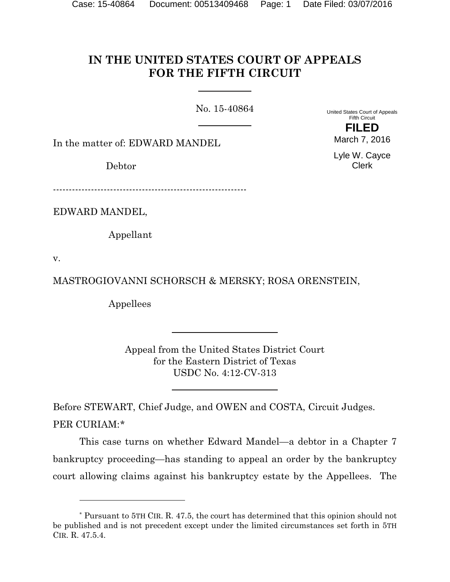# **IN THE UNITED STATES COURT OF APPEALS FOR THE FIFTH CIRCUIT**

No. 15-40864

United States Court of Appeals Fifth Circuit **FILED**

In the matter of: EDWARD MANDEL

Debtor

Lyle W. Cayce Clerk

March 7, 2016

-------------------------------------------------------------

EDWARD MANDEL,

Appellant

v.

 $\overline{a}$ 

MASTROGIOVANNI SCHORSCH & MERSKY; ROSA ORENSTEIN,

Appellees

Appeal from the United States District Court for the Eastern District of Texas USDC No. 4:12-CV-313

Before STEWART, Chief Judge, and OWEN and COSTA, Circuit Judges. PER CURIAM:[\\*](#page-0-0)

This case turns on whether Edward Mandel—a debtor in a Chapter 7 bankruptcy proceeding—has standing to appeal an order by the bankruptcy court allowing claims against his bankruptcy estate by the Appellees. The

<span id="page-0-0"></span><sup>\*</sup> Pursuant to 5TH CIR. R. 47.5, the court has determined that this opinion should not be published and is not precedent except under the limited circumstances set forth in 5TH CIR. R. 47.5.4.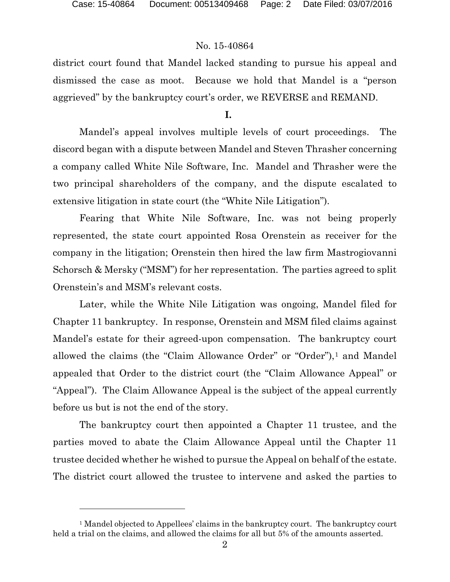l

# No. 15-40864

district court found that Mandel lacked standing to pursue his appeal and dismissed the case as moot. Because we hold that Mandel is a "person aggrieved" by the bankruptcy court's order, we REVERSE and REMAND.

### **I.**

Mandel's appeal involves multiple levels of court proceedings. The discord began with a dispute between Mandel and Steven Thrasher concerning a company called White Nile Software, Inc. Mandel and Thrasher were the two principal shareholders of the company, and the dispute escalated to extensive litigation in state court (the "White Nile Litigation").

Fearing that White Nile Software, Inc. was not being properly represented, the state court appointed Rosa Orenstein as receiver for the company in the litigation; Orenstein then hired the law firm Mastrogiovanni Schorsch & Mersky ("MSM") for her representation. The parties agreed to split Orenstein's and MSM's relevant costs.

Later, while the White Nile Litigation was ongoing, Mandel filed for Chapter 11 bankruptcy. In response, Orenstein and MSM filed claims against Mandel's estate for their agreed-upon compensation. The bankruptcy court allowed the claims (the "Claim Allowance Order" or "Order"),<sup>[1](#page-1-0)</sup> and Mandel appealed that Order to the district court (the "Claim Allowance Appeal" or "Appeal"). The Claim Allowance Appeal is the subject of the appeal currently before us but is not the end of the story.

The bankruptcy court then appointed a Chapter 11 trustee, and the parties moved to abate the Claim Allowance Appeal until the Chapter 11 trustee decided whether he wished to pursue the Appeal on behalf of the estate. The district court allowed the trustee to intervene and asked the parties to

<span id="page-1-0"></span><sup>&</sup>lt;sup>1</sup> Mandel objected to Appellees' claims in the bankruptcy court. The bankruptcy court held a trial on the claims, and allowed the claims for all but 5% of the amounts asserted.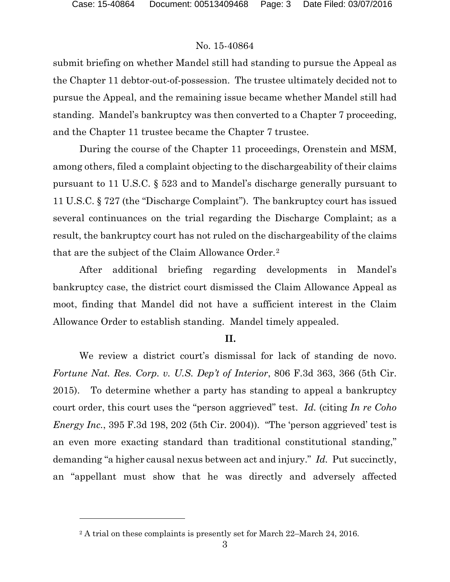l

# No. 15-40864

submit briefing on whether Mandel still had standing to pursue the Appeal as the Chapter 11 debtor-out-of-possession. The trustee ultimately decided not to pursue the Appeal, and the remaining issue became whether Mandel still had standing. Mandel's bankruptcy was then converted to a Chapter 7 proceeding, and the Chapter 11 trustee became the Chapter 7 trustee.

During the course of the Chapter 11 proceedings, Orenstein and MSM, among others, filed a complaint objecting to the dischargeability of their claims pursuant to 11 U.S.C. § 523 and to Mandel's discharge generally pursuant to 11 U.S.C. § 727 (the "Discharge Complaint"). The bankruptcy court has issued several continuances on the trial regarding the Discharge Complaint; as a result, the bankruptcy court has not ruled on the dischargeability of the claims that are the subject of the Claim Allowance Order.[2](#page-2-0)

After additional briefing regarding developments in Mandel's bankruptcy case, the district court dismissed the Claim Allowance Appeal as moot, finding that Mandel did not have a sufficient interest in the Claim Allowance Order to establish standing. Mandel timely appealed.

# **II.**

We review a district court's dismissal for lack of standing de novo. *Fortune Nat. Res. Corp. v. U.S. Dep't of Interior*, 806 F.3d 363, 366 (5th Cir. 2015). To determine whether a party has standing to appeal a bankruptcy court order, this court uses the "person aggrieved" test. *Id.* (citing *In re Coho Energy Inc.*, 395 F.3d 198, 202 (5th Cir. 2004)). "The 'person aggrieved' test is an even more exacting standard than traditional constitutional standing," demanding "a higher causal nexus between act and injury." *Id.* Put succinctly, an "appellant must show that he was directly and adversely affected

<span id="page-2-0"></span><sup>&</sup>lt;sup>2</sup> A trial on these complaints is presently set for March 22–March 24, 2016.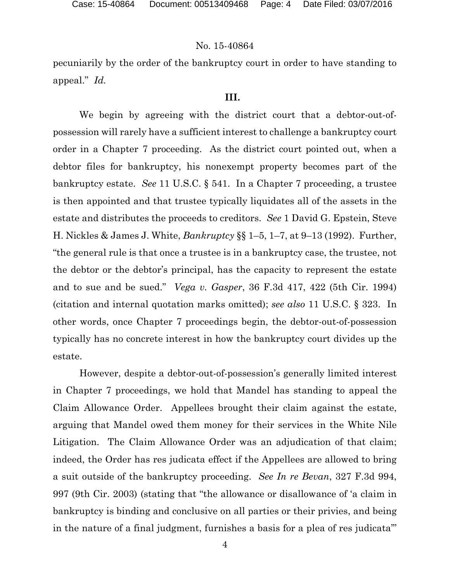## No. 15-40864

pecuniarily by the order of the bankruptcy court in order to have standing to appeal." *Id.*

#### **III.**

We begin by agreeing with the district court that a debtor-out-ofpossession will rarely have a sufficient interest to challenge a bankruptcy court order in a Chapter 7 proceeding. As the district court pointed out, when a debtor files for bankruptcy, his nonexempt property becomes part of the bankruptcy estate. *See* 11 U.S.C. § 541. In a Chapter 7 proceeding, a trustee is then appointed and that trustee typically liquidates all of the assets in the estate and distributes the proceeds to creditors. *See* 1 David G. Epstein, Steve H. Nickles & James J. White, *Bankruptcy* §§ 1–5, 1–7, at 9–13 (1992). Further, "the general rule is that once a trustee is in a bankruptcy case, the trustee, not the debtor or the debtor's principal, has the capacity to represent the estate and to sue and be sued." *Vega v. Gasper*, 36 F.3d 417, 422 (5th Cir. 1994) (citation and internal quotation marks omitted); *see also* 11 U.S.C. § 323. In other words, once Chapter 7 proceedings begin, the debtor-out-of-possession typically has no concrete interest in how the bankruptcy court divides up the estate.

However, despite a debtor-out-of-possession's generally limited interest in Chapter 7 proceedings, we hold that Mandel has standing to appeal the Claim Allowance Order. Appellees brought their claim against the estate, arguing that Mandel owed them money for their services in the White Nile Litigation. The Claim Allowance Order was an adjudication of that claim; indeed, the Order has res judicata effect if the Appellees are allowed to bring a suit outside of the bankruptcy proceeding. *See In re Bevan*, 327 F.3d 994, 997 (9th Cir. 2003) (stating that "the allowance or disallowance of 'a claim in bankruptcy is binding and conclusive on all parties or their privies, and being in the nature of a final judgment, furnishes a basis for a plea of res judicata'"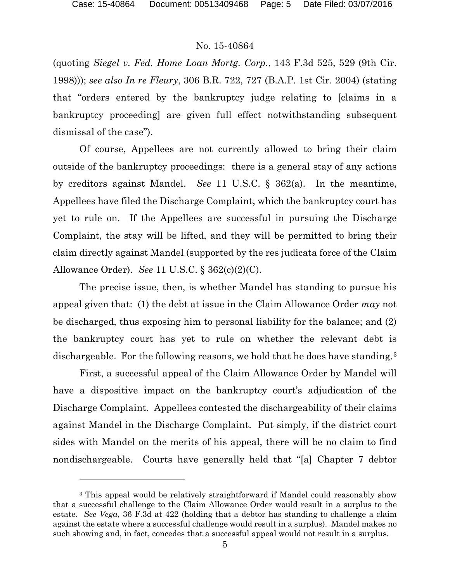l

### No. 15-40864

(quoting *Siegel v. Fed. Home Loan Mortg. Corp.*, 143 F.3d 525, 529 (9th Cir. 1998))); *see also In re Fleury*, 306 B.R. 722, 727 (B.A.P. 1st Cir. 2004) (stating that "orders entered by the bankruptcy judge relating to [claims in a bankruptcy proceeding] are given full effect notwithstanding subsequent dismissal of the case").

Of course, Appellees are not currently allowed to bring their claim outside of the bankruptcy proceedings: there is a general stay of any actions by creditors against Mandel. *See* 11 U.S.C. § 362(a). In the meantime, Appellees have filed the Discharge Complaint, which the bankruptcy court has yet to rule on. If the Appellees are successful in pursuing the Discharge Complaint, the stay will be lifted, and they will be permitted to bring their claim directly against Mandel (supported by the res judicata force of the Claim Allowance Order). *See* 11 U.S.C. § 362(c)(2)(C).

The precise issue, then, is whether Mandel has standing to pursue his appeal given that: (1) the debt at issue in the Claim Allowance Order *may* not be discharged, thus exposing him to personal liability for the balance; and (2) the bankruptcy court has yet to rule on whether the relevant debt is dischargeable. For the following reasons, we hold that he does have standing.<sup>[3](#page-4-0)</sup>

First, a successful appeal of the Claim Allowance Order by Mandel will have a dispositive impact on the bankruptcy court's adjudication of the Discharge Complaint. Appellees contested the dischargeability of their claims against Mandel in the Discharge Complaint. Put simply, if the district court sides with Mandel on the merits of his appeal, there will be no claim to find nondischargeable. Courts have generally held that "[a] Chapter 7 debtor

<span id="page-4-0"></span><sup>&</sup>lt;sup>3</sup> This appeal would be relatively straightforward if Mandel could reasonably show that a successful challenge to the Claim Allowance Order would result in a surplus to the estate. *See Vega*, 36 F.3d at 422 (holding that a debtor has standing to challenge a claim against the estate where a successful challenge would result in a surplus). Mandel makes no such showing and, in fact, concedes that a successful appeal would not result in a surplus.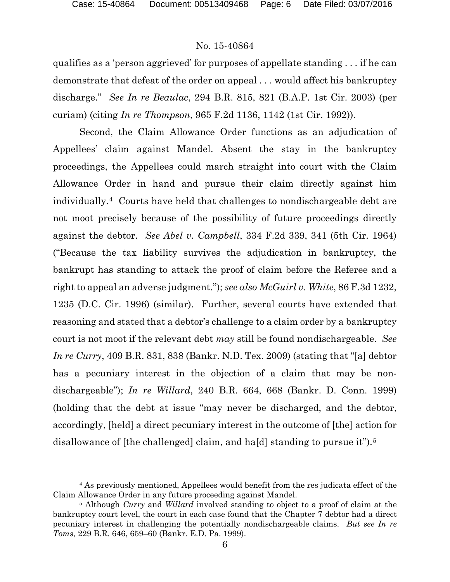$\overline{a}$ 

### No. 15-40864

qualifies as a 'person aggrieved' for purposes of appellate standing . . . if he can demonstrate that defeat of the order on appeal . . . would affect his bankruptcy discharge." *See In re Beaulac*, 294 B.R. 815, 821 (B.A.P. 1st Cir. 2003) (per curiam) (citing *In re Thompson*, 965 F.2d 1136, 1142 (1st Cir. 1992)).

Second, the Claim Allowance Order functions as an adjudication of Appellees' claim against Mandel. Absent the stay in the bankruptcy proceedings, the Appellees could march straight into court with the Claim Allowance Order in hand and pursue their claim directly against him individually.[4](#page-5-0) Courts have held that challenges to nondischargeable debt are not moot precisely because of the possibility of future proceedings directly against the debtor. *See Abel v. Campbell*, 334 F.2d 339, 341 (5th Cir. 1964) ("Because the tax liability survives the adjudication in bankruptcy, the bankrupt has standing to attack the proof of claim before the Referee and a right to appeal an adverse judgment."); *see also McGuirl v. White*, 86 F.3d 1232, 1235 (D.C. Cir. 1996) (similar). Further, several courts have extended that reasoning and stated that a debtor's challenge to a claim order by a bankruptcy court is not moot if the relevant debt *may* still be found nondischargeable. *See In re Curry*, 409 B.R. 831, 838 (Bankr. N.D. Tex. 2009) (stating that "[a] debtor has a pecuniary interest in the objection of a claim that may be nondischargeable"); *In re Willard*, 240 B.R. 664, 668 (Bankr. D. Conn. 1999) (holding that the debt at issue "may never be discharged, and the debtor, accordingly, [held] a direct pecuniary interest in the outcome of [the] action for disallowance of [the challenged] claim, and ha[d] standing to pursue it").<sup>[5](#page-5-1)</sup>

<span id="page-5-0"></span><sup>4</sup> As previously mentioned, Appellees would benefit from the res judicata effect of the Claim Allowance Order in any future proceeding against Mandel.

<span id="page-5-1"></span><sup>5</sup> Although *Curry* and *Willard* involved standing to object to a proof of claim at the bankruptcy court level, the court in each case found that the Chapter 7 debtor had a direct pecuniary interest in challenging the potentially nondischargeable claims. *But see In re Toms*, 229 B.R. 646, 659–60 (Bankr. E.D. Pa. 1999).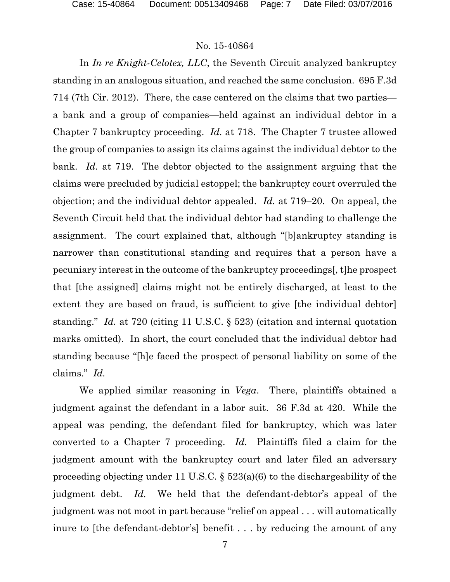# No. 15-40864

In *In re Knight-Celotex, LLC*, the Seventh Circuit analyzed bankruptcy standing in an analogous situation, and reached the same conclusion. 695 F.3d 714 (7th Cir. 2012). There, the case centered on the claims that two parties a bank and a group of companies—held against an individual debtor in a Chapter 7 bankruptcy proceeding. *Id.* at 718. The Chapter 7 trustee allowed the group of companies to assign its claims against the individual debtor to the bank. *Id.* at 719. The debtor objected to the assignment arguing that the claims were precluded by judicial estoppel; the bankruptcy court overruled the objection; and the individual debtor appealed. *Id.* at 719–20. On appeal, the Seventh Circuit held that the individual debtor had standing to challenge the assignment. The court explained that, although "[b]ankruptcy standing is narrower than constitutional standing and requires that a person have a pecuniary interest in the outcome of the bankruptcy proceedings[, t]he prospect that [the assigned] claims might not be entirely discharged, at least to the extent they are based on fraud, is sufficient to give [the individual debtor] standing." *Id.* at 720 (citing 11 U.S.C. § 523) (citation and internal quotation marks omitted). In short, the court concluded that the individual debtor had standing because "[h]e faced the prospect of personal liability on some of the claims." *Id.*

We applied similar reasoning in *Vega*. There, plaintiffs obtained a judgment against the defendant in a labor suit. 36 F.3d at 420. While the appeal was pending, the defendant filed for bankruptcy, which was later converted to a Chapter 7 proceeding. *Id.* Plaintiffs filed a claim for the judgment amount with the bankruptcy court and later filed an adversary proceeding objecting under 11 U.S.C. § 523(a)(6) to the dischargeability of the judgment debt. *Id.* We held that the defendant-debtor's appeal of the judgment was not moot in part because "relief on appeal . . . will automatically inure to [the defendant-debtor's] benefit . . . by reducing the amount of any